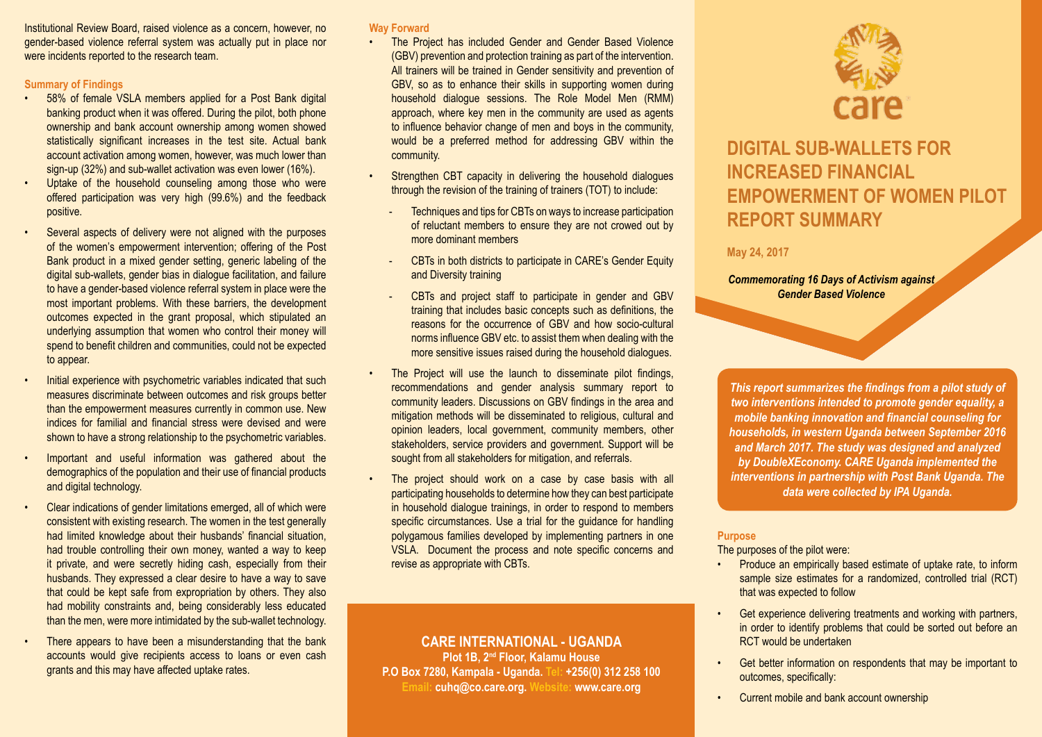Institutional Review Board, raised violence as a concern, however, no gender-based violence referral system was actually put in place nor were incidents reported to the research team.

#### **Summary of Findings**

- 58% of female VSLA members applied for a Post Bank digital banking product when it was offered. During the pilot, both phone ownership and bank account ownership among women showed statistically significant increases in the test site. Actual bank account activation among women, however, was much lower than sign-up (32%) and sub-wallet activation was even lower (16%).
- Uptake of the household counseling among those who were offered participation was very high (99.6%) and the feedback positive.
- Several aspects of delivery were not aligned with the purposes of the women's empowerment intervention; offering of the Post Bank product in a mixed gender setting, generic labeling of the digital sub-wallets, gender bias in dialogue facilitation, and failure to have a gender-based violence referral system in place were the most important problems. With these barriers, the development outcomes expected in the grant proposal, which stipulated an underlying assumption that women who control their money will spend to benefit children and communities, could not be expected to appear.
- Initial experience with psychometric variables indicated that such measures discriminate between outcomes and risk groups better than the empowerment measures currently in common use. New indices for familial and financial stress were devised and were shown to have a strong relationship to the psychometric variables.
- Important and useful information was gathered about the demographics of the population and their use of financial products and digital technology.
- Clear indications of gender limitations emerged, all of which were consistent with existing research. The women in the test generally had limited knowledge about their husbands' financial situation, had trouble controlling their own money, wanted a way to keep it private, and were secretly hiding cash, especially from their husbands. They expressed a clear desire to have a way to save that could be kept safe from expropriation by others. They also had mobility constraints and, being considerably less educated than the men, were more intimidated by the sub-wallet technology.
- There appears to have been a misunderstanding that the bank accounts would give recipients access to loans or even cash grants and this may have affected uptake rates.

#### **Way Forward**

- The Project has included Gender and Gender Based Violence (GBV) prevention and protection training as part of the intervention. All trainers will be trained in Gender sensitivity and prevention of GBV, so as to enhance their skills in supporting women during household dialogue sessions. The Role Model Men (RMM) approach, where key men in the community are used as agents to influence behavior change of men and boys in the community, would be a preferred method for addressing GBV within the community.
- Strengthen CBT capacity in delivering the household dialogues through the revision of the training of trainers (TOT) to include:
	- Techniques and tips for CBTs on ways to increase participation of reluctant members to ensure they are not crowed out by more dominant members
	- CBTs in both districts to participate in CARE's Gender Equity and Diversity training
	- CBTs and project staff to participate in gender and GBV training that includes basic concepts such as definitions, the reasons for the occurrence of GBV and how socio-cultural norms influence GBV etc. to assist them when dealing with the more sensitive issues raised during the household dialogues.
- The Project will use the launch to disseminate pilot findings, recommendations and gender analysis summary report to community leaders. Discussions on GBV findings in the area and mitigation methods will be disseminated to religious, cultural and opinion leaders, local government, community members, other stakeholders, service providers and government. Support will be sought from all stakeholders for mitigation, and referrals.
- The project should work on a case by case basis with all participating households to determine how they can best participate in household dialogue trainings, in order to respond to members specific circumstances. Use a trial for the guidance for handling polygamous families developed by implementing partners in one VSLA. Document the process and note specific concerns and revise as appropriate with CBTs.

### **CARE INTERNATIONAL - UGANDA Plot 1B, 2nd Floor, Kalamu House P.O Box 7280, Kampala - Uganda. Tel: +256(0) 312 258 100 Email: cuhq@co.care.org. Website: www.care.org**



## **DIGITAL SUB-WALLETS FOR INCREASED FINANCIAL EMPOWERMENT OF WOMEN PILOT REPORT SUMMARY**

## **May 24, 2017**

### *Commemorating 16 Days of Activism against Gender Based Violence*

*This report summarizes the findings from a pilot study of two interventions intended to promote gender equality, a mobile banking innovation and financial counseling for households, in western Uganda between September 2016 and March 2017. The study was designed and analyzed by DoubleXEconomy. CARE Uganda implemented the interventions in partnership with Post Bank Uganda. The data were collected by IPA Uganda.*

#### **Purpose**

The purposes of the pilot were:

- Produce an empirically based estimate of uptake rate, to inform sample size estimates for a randomized, controlled trial (RCT) that was expected to follow
- Get experience delivering treatments and working with partners, in order to identify problems that could be sorted out before an RCT would be undertaken
- Get better information on respondents that may be important to outcomes, specifically:
- Current mobile and bank account ownership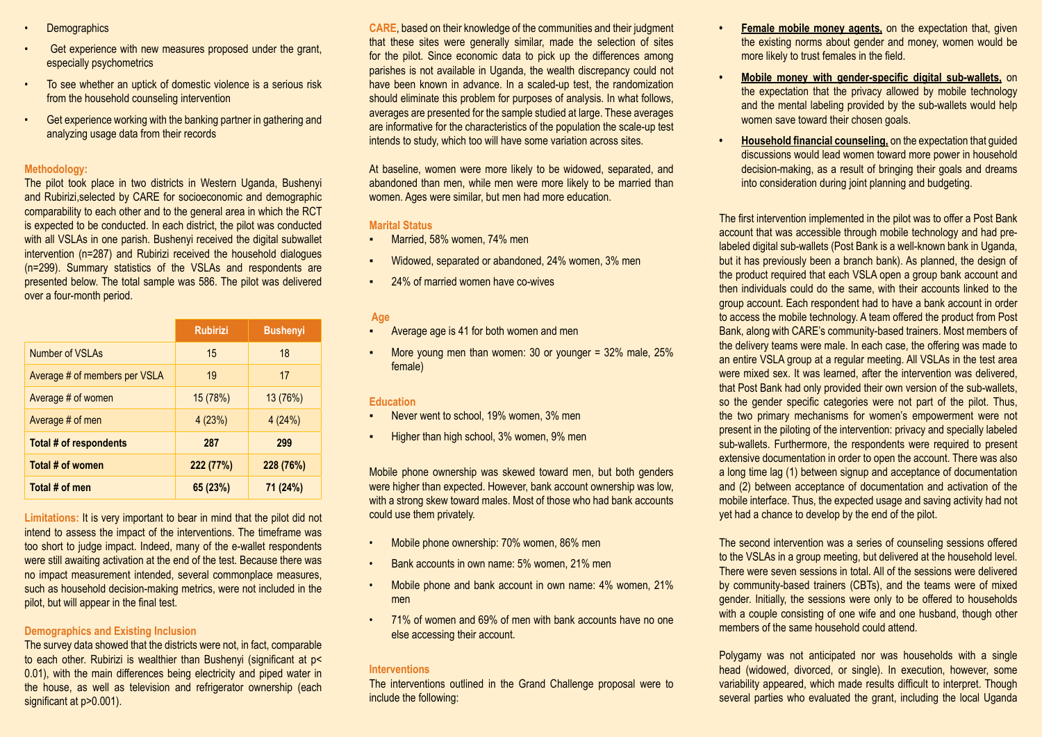- **Demographics**
- Get experience with new measures proposed under the grant, especially psychometrics
- To see whether an uptick of domestic violence is a serious risk from the household counseling intervention
- Get experience working with the banking partner in gathering and analyzing usage data from their records

#### **Methodology:**

The pilot took place in two districts in Western Uganda, Bushenyi and Rubirizi,selected by CARE for socioeconomic and demographic comparability to each other and to the general area in which the RCT is expected to be conducted. In each district, the pilot was conducted with all VSLAs in one parish. Bushenyi received the digital subwallet intervention (n=287) and Rubirizi received the household dialogues (n=299). Summary statistics of the VSLAs and respondents are presented below. The total sample was 586. The pilot was delivered over a four-month period.

|                               | <b>Rubirizi</b> | <b>Bushenyi</b> |
|-------------------------------|-----------------|-----------------|
| Number of VSLAs               | 15              | 18              |
| Average # of members per VSLA | 19              | 17              |
| Average # of women            | 15(78%)         | 13(76%)         |
| Average # of men              | 4(23%)          | 4(24%)          |
| Total # of respondents        | 287             | 299             |
| Total # of women              | 222 (77%)       | 228 (76%)       |
| Total # of men                | 65(23%)         | 71 (24%)        |

**Limitations:** It is very important to bear in mind that the pilot did not intend to assess the impact of the interventions. The timeframe was too short to judge impact. Indeed, many of the e-wallet respondents were still awaiting activation at the end of the test. Because there was no impact measurement intended, several commonplace measures, such as household decision-making metrics, were not included in the pilot, but will appear in the final test.

#### **Demographics and Existing Inclusion**

The survey data showed that the districts were not, in fact, comparable to each other. Rubirizi is wealthier than Bushenyi (significant at p< 0.01), with the main differences being electricity and piped water in the house, as well as television and refrigerator ownership (each significant at p>0.001).

**CARE**, based on their knowledge of the communities and their judgment that these sites were generally similar, made the selection of sites for the pilot. Since economic data to pick up the differences among parishes is not available in Uganda, the wealth discrepancy could not have been known in advance. In a scaled-up test, the randomization should eliminate this problem for purposes of analysis. In what follows, averages are presented for the sample studied at large. These averages are informative for the characteristics of the population the scale-up test intends to study, which too will have some variation across sites.

At baseline, women were more likely to be widowed, separated, and abandoned than men, while men were more likely to be married than women. Ages were similar, but men had more education.

#### **Marital Status**

- Married, 58% women, 74% men
- Widowed, separated or abandoned, 24% women, 3% men
- 24% of married women have co-wives

### **Age**

- Average age is 41 for both women and men
- More young men than women: 30 or younger  $=$  32% male, 25% female)

#### **Education**

- **Never went to school, 19% women, 3% men**
- Higher than high school, 3% women, 9% men

Mobile phone ownership was skewed toward men, but both genders were higher than expected. However, bank account ownership was low, with a strong skew toward males. Most of those who had bank accounts could use them privately.

- Mobile phone ownership: 70% women, 86% men
- Bank accounts in own name: 5% women, 21% men
- Mobile phone and bank account in own name: 4% women, 21% men
- 71% of women and 69% of men with bank accounts have no one else accessing their account.

#### **Interventions**

The interventions outlined in the Grand Challenge proposal were to include the following:

- **Female mobile money agents, on the expectation that, given** the existing norms about gender and money, women would be more likely to trust females in the field.
- **• Mobile money with gender-specific digital sub-wallets,** on the expectation that the privacy allowed by mobile technology and the mental labeling provided by the sub-wallets would help women save toward their chosen goals.
- **• Household financial counseling,** on the expectation that guided discussions would lead women toward more power in household decision-making, as a result of bringing their goals and dreams into consideration during joint planning and budgeting.

The first intervention implemented in the pilot was to offer a Post Bank account that was accessible through mobile technology and had prelabeled digital sub-wallets (Post Bank is a well-known bank in Uganda, but it has previously been a branch bank). As planned, the design of the product required that each VSLA open a group bank account and then individuals could do the same, with their accounts linked to the group account. Each respondent had to have a bank account in order to access the mobile technology. A team offered the product from Post Bank, along with CARE's community-based trainers. Most members of the delivery teams were male. In each case, the offering was made to an entire VSLA group at a regular meeting. All VSLAs in the test area were mixed sex. It was learned, after the intervention was delivered, that Post Bank had only provided their own version of the sub-wallets, so the gender specific categories were not part of the pilot. Thus, the two primary mechanisms for women's empowerment were not present in the piloting of the intervention: privacy and specially labeled sub-wallets. Furthermore, the respondents were required to present extensive documentation in order to open the account. There was also a long time lag (1) between signup and acceptance of documentation and (2) between acceptance of documentation and activation of the mobile interface. Thus, the expected usage and saving activity had not yet had a chance to develop by the end of the pilot.

The second intervention was a series of counseling sessions offered to the VSLAs in a group meeting, but delivered at the household level. There were seven sessions in total. All of the sessions were delivered by community-based trainers (CBTs), and the teams were of mixed gender. Initially, the sessions were only to be offered to households with a couple consisting of one wife and one husband, though other members of the same household could attend.

Polygamy was not anticipated nor was households with a single head (widowed, divorced, or single). In execution, however, some variability appeared, which made results difficult to interpret. Though several parties who evaluated the grant, including the local Uganda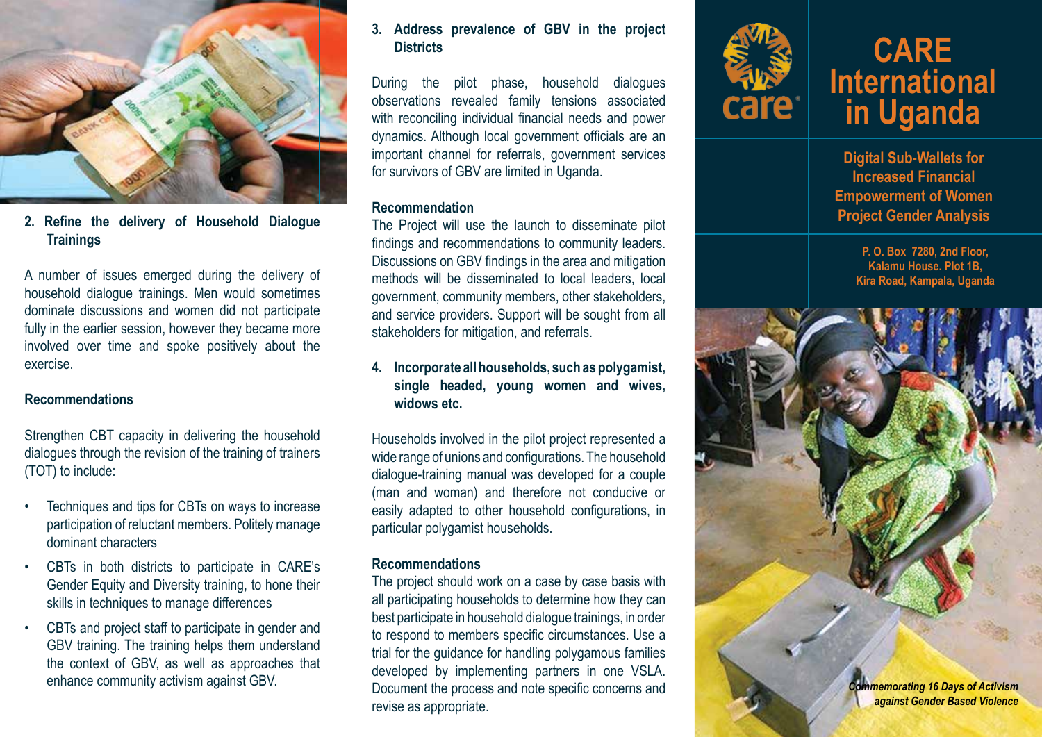

**2. Refine the delivery of Household Dialogue Trainings**

A number of issues emerged during the delivery of household dialogue trainings. Men would sometimes dominate discussions and women did not participate fully in the earlier session, however they became more involved over time and spoke positively about the exercise.

## **Recommendations**

Strengthen CBT capacity in delivering the household dialogues through the revision of the training of trainers (TOT) to include:

- Techniques and tips for CBTs on ways to increase participation of reluctant members. Politely manage dominant characters
- CBTs in both districts to participate in CARE's Gender Equity and Diversity training, to hone their skills in techniques to manage differences
- CBTs and project staff to participate in gender and GBV training. The training helps them understand the context of GBV, as well as approaches that

## **3. Address prevalence of GBV in the project Districts**

During the pilot phase, household dialogues observations revealed family tensions associated with reconciling individual financial needs and power dynamics. Although local government officials are an important channel for referrals, government services for survivors of GBV are limited in Uganda.

## **Recommendation**

The Project will use the launch to disseminate pilot findings and recommendations to community leaders. Discussions on GBV findings in the area and mitigation methods will be disseminated to local leaders, local government, community members, other stakeholders, and service providers. Support will be sought from all stakeholders for mitigation, and referrals.

## **4. Incorporate all households, such as polygamist, single headed, young women and wives, widows etc.**

Households involved in the pilot project represented a wide range of unions and configurations. The household dialogue-training manual was developed for a couple (man and woman) and therefore not conducive or easily adapted to other household configurations, in particular polygamist households.

## **Recommendations**

The project should work on a case by case basis with all participating households to determine how they can best participate in household dialogue trainings, in order to respond to members specific circumstances. Use a trial for the guidance for handling polygamous families developed by implementing partners in one VSLA. revise as appropriate.



# **CARE International in Uganda**

**Digital Sub-Wallets for Increased Financial Empowerment of Women Project Gender Analysis**

> **P. O. Box 7280, 2nd Floor, Kalamu House. Plot 1B, Kira Road, Kampala, Uganda**